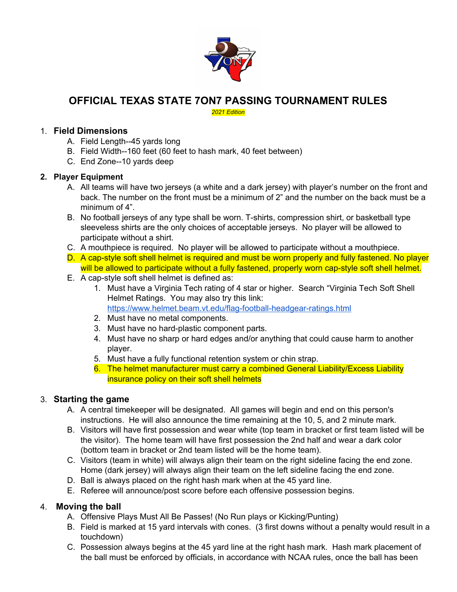

## **OFFICIAL TEXAS STATE 7ON7 PASSING TOURNAMENT RULES**

*2021 Edition*

#### 1. **Field Dimensions**

- A. Field Length--45 yards long
- B. Field Width--160 feet (60 feet to hash mark, 40 feet between)
- C. End Zone--10 yards deep

#### **2. Player Equipment**

- A. All teams will have two jerseys (a white and a dark jersey) with player's number on the front and back. The number on the front must be a minimum of 2" and the number on the back must be a minimum of 4".
- B. No football jerseys of any type shall be worn. T-shirts, compression shirt, or basketball type sleeveless shirts are the only choices of acceptable jerseys. No player will be allowed to participate without a shirt.
- C. A mouthpiece is required. No player will be allowed to participate without a mouthpiece.
- D. A cap-style soft shell helmet is required and must be worn properly and fully fastened. No player will be allowed to participate without a fully fastened, properly worn cap-style soft shell helmet.
- E. A cap-style soft shell helmet is defined as:
	- 1. Must have a Virginia Tech rating of 4 star or higher. Search "Virginia Tech Soft Shell Helmet Ratings. You may also try this link: <https://www.helmet.beam.vt.edu/flag-football-headgear-ratings.html>
	- 2. Must have no metal components.
	- 3. Must have no hard-plastic component parts.
	- 4. Must have no sharp or hard edges and/or anything that could cause harm to another player.
	- 5. Must have a fully functional retention system or chin strap.
	- 6. The helmet manufacturer must carry a combined General Liability/Excess Liability insurance policy on their soft shell helmets

## 3. **Starting the game**

- A. A central timekeeper will be designated. All games will begin and end on this person's instructions. He will also announce the time remaining at the 10, 5, and 2 minute mark.
- B. Visitors will have first possession and wear white (top team in bracket or first team listed will be the visitor). The home team will have first possession the 2nd half and wear a dark color (bottom team in bracket or 2nd team listed will be the home team).
- C. Visitors (team in white) will always align their team on the right sideline facing the end zone. Home (dark jersey) will always align their team on the left sideline facing the end zone.
- D. Ball is always placed on the right hash mark when at the 45 yard line.
- E. Referee will announce/post score before each offensive possession begins.

#### 4. **Moving the ball**

- A. Offensive Plays Must All Be Passes! (No Run plays or Kicking/Punting)
- B. Field is marked at 15 yard intervals with cones. (3 first downs without a penalty would result in a touchdown)
- C. Possession always begins at the 45 yard line at the right hash mark. Hash mark placement of the ball must be enforced by officials, in accordance with NCAA rules, once the ball has been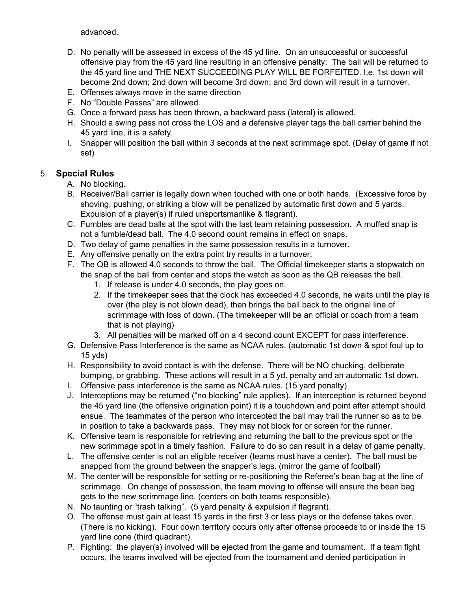advanced.

- D. No penalty will be assessed in excess of the 45 yd line. On an unsuccessful or successful offensive play from the 45 yard line resulting in an offensive penalty: The ball will be returned to the 45 yard line and THE NEXT SUCCEEDING PLAY WILL BE FORFEITED. I.e. 1st down will become 2nd down; 2nd down will become 3rd down; and 3rd down will result in a turnover.
- E. Offenses always move in the same direction
- F. No "Double Passes" are allowed.
- G. Once a forward pass has been thrown, a backward pass (lateral) is allowed.
- H. Should a swing pass not cross the LOS and a defensive player tags the ball carrier behind the 45 yard line, it is a safety.
- I. Snapper will position the ball within 3 seconds at the next scrimmage spot. (Delay of game if not set)

## 5. **Special Rules**

- A. No blocking.
- B. Receiver/Ball carrier is legally down when touched with one or both hands. (Excessive force by shoving, pushing, or striking a blow will be penalized by automatic first down and 5 yards. Expulsion of a player(s) if ruled unsportsmanlike & flagrant).
- C. Fumbles are dead balls at the spot with the last team retaining possession. A muffed snap is not a fumble/dead ball. The 4.0 second count remains in effect on snaps.
- D. Two delay of game penalties in the same possession results in a turnover.
- E. Any offensive penalty on the extra point try results in a turnover.
- F. The QB is allowed 4.0 seconds to throw the ball. The Official timekeeper starts a stopwatch on the snap of the ball from center and stops the watch as soon as the QB releases the ball.
	- 1. If release is under 4.0 seconds, the play goes on.
	- 2. If the timekeeper sees that the clock has exceeded 4.0 seconds, he waits until the play is over (the play is not blown dead), then brings the ball back to the original line of scrimmage with loss of down. (The timekeeper will be an official or coach from a team that is not playing)
	- 3. All penalties will be marked off on a 4 second count EXCEPT for pass interference.
- G. Defensive Pass Interference is the same as NCAA rules. (automatic 1st down & spot foul up to 15 yds)
- H. Responsibility to avoid contact is with the defense. There will be NO chucking, deliberate bumping, or grabbing. These actions will result in a 5 yd. penalty and an automatic 1st down.
- I. Offensive pass interference is the same as NCAA rules. (15 yard penalty)
- J. Interceptions may be returned ("no blocking" rule applies). If an interception is returned beyond the 45 yard line (the offensive origination point) it is a touchdown and point after attempt should ensue. The teammates of the person who intercepted the ball may trail the runner so as to be in position to take a backwards pass. They may not block for or screen for the runner.
- K. Offensive team is responsible for retrieving and returning the ball to the previous spot or the new scrimmage spot in a timely fashion. Failure to do so can result in a delay of game penalty.
- L. The offensive center is not an eligible receiver (teams must have a center). The ball must be snapped from the ground between the snapper's legs. (mirror the game of football)
- M. The center will be responsible for setting or re-positioning the Referee's bean bag at the line of scrimmage. On change of possession, the team moving to offense will ensure the bean bag gets to the new scrimmage line. (centers on both teams responsible).
- N. No taunting or "trash talking". (5 yard penalty & expulsion if flagrant).
- O. The offense must gain at least 15 yards in the first 3 or less plays or the defense takes over. (There is no kicking). Four down territory occurs only after offense proceeds to or inside the 15 yard line cone (third quadrant).
- P. Fighting: the player(s) involved will be ejected from the game and tournament. If a team fight occurs, the teams involved will be ejected from the tournament and denied participation in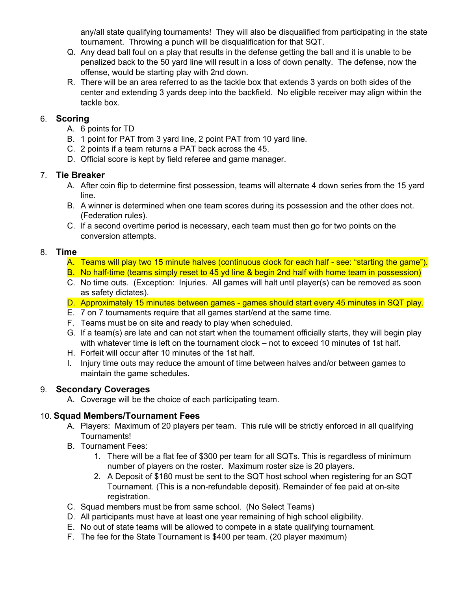any/all state qualifying tournaments! They will also be disqualified from participating in the state tournament. Throwing a punch will be disqualification for that SQT.

- Q. Any dead ball foul on a play that results in the defense getting the ball and it is unable to be penalized back to the 50 yard line will result in a loss of down penalty. The defense, now the offense, would be starting play with 2nd down.
- R. There will be an area referred to as the tackle box that extends 3 yards on both sides of the center and extending 3 yards deep into the backfield. No eligible receiver may align within the tackle box.

#### 6. **Scoring**

- A. 6 points for TD
- B. 1 point for PAT from 3 yard line, 2 point PAT from 10 yard line.
- C. 2 points if a team returns a PAT back across the 45.
- D. Official score is kept by field referee and game manager.

#### 7. **Tie Breaker**

- A. After coin flip to determine first possession, teams will alternate 4 down series from the 15 yard line.
- B. A winner is determined when one team scores during its possession and the other does not. (Federation rules).
- C. If a second overtime period is necessary, each team must then go for two points on the conversion attempts.

#### 8. **Time**

- A. Teams will play two 15 minute halves (continuous clock for each half see: "starting the game").
- B. No half-time (teams simply reset to 45 yd line & begin 2nd half with home team in possession)
- C. No time outs. (Exception: Injuries. All games will halt until player(s) can be removed as soon as safety dictates).
- D. Approximately 15 minutes between games games should start every 45 minutes in SQT play.
- E. 7 on 7 tournaments require that all games start/end at the same time.
- F. Teams must be on site and ready to play when scheduled.
- G. If a team(s) are late and can not start when the tournament officially starts, they will begin play with whatever time is left on the tournament clock – not to exceed 10 minutes of 1st half.
- H. Forfeit will occur after 10 minutes of the 1st half.
- I. Injury time outs may reduce the amount of time between halves and/or between games to maintain the game schedules.

## 9. **Secondary Coverages**

A. Coverage will be the choice of each participating team.

## 10. **Squad Members/Tournament Fees**

- A. Players: Maximum of 20 players per team. This rule will be strictly enforced in all qualifying Tournaments!
- B. Tournament Fees:
	- 1. There will be a flat fee of \$300 per team for all SQTs. This is regardless of minimum number of players on the roster. Maximum roster size is 20 players.
	- 2. A Deposit of \$180 must be sent to the SQT host school when registering for an SQT Tournament. (This is a non-refundable deposit). Remainder of fee paid at on-site registration.
- C. Squad members must be from same school. (No Select Teams)
- D. All participants must have at least one year remaining of high school eligibility.
- E. No out of state teams will be allowed to compete in a state qualifying tournament.
- F. The fee for the State Tournament is \$400 per team. (20 player maximum)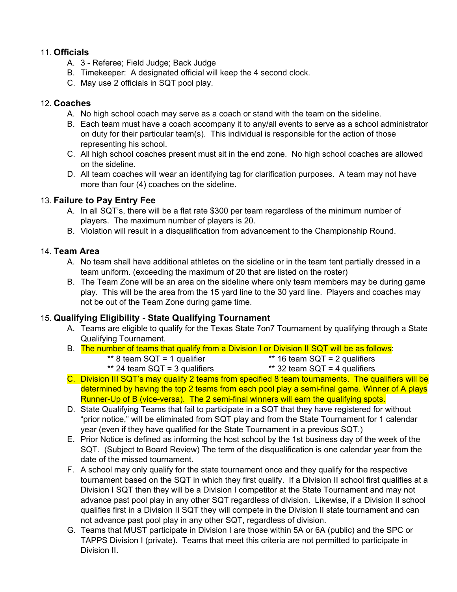#### 11. **Officials**

- A. 3 Referee; Field Judge; Back Judge
- B. Timekeeper: A designated official will keep the 4 second clock.
- C. May use 2 officials in SQT pool play.

#### 12. **Coaches**

- A. No high school coach may serve as a coach or stand with the team on the sideline.
- B. Each team must have a coach accompany it to any/all events to serve as a school administrator on duty for their particular team(s). This individual is responsible for the action of those representing his school.
- C. All high school coaches present must sit in the end zone. No high school coaches are allowed on the sideline.
- D. All team coaches will wear an identifying tag for clarification purposes. A team may not have more than four (4) coaches on the sideline.

## 13. **Failure to Pay Entry Fee**

- A. In all SQT's, there will be a flat rate \$300 per team regardless of the minimum number of players. The maximum number of players is 20.
- B. Violation will result in a disqualification from advancement to the Championship Round.

## 14. **Team Area**

- A. No team shall have additional athletes on the sideline or in the team tent partially dressed in a team uniform. (exceeding the maximum of 20 that are listed on the roster)
- B. The Team Zone will be an area on the sideline where only team members may be during game play. This will be the area from the 15 yard line to the 30 yard line. Players and coaches may not be out of the Team Zone during game time.

## 15. **Qualifying Eligibility - State Qualifying Tournament**

- A. Teams are eligible to qualify for the Texas State 7on7 Tournament by qualifying through a State Qualifying Tournament.
- B. The number of teams that qualify from a Division I or Division II SQT will be as follows:
	- \*\* 8 team  $SQT = 1$  qualifier  $\overline{a}$  \*\* 16 team  $SQT = 2$  qualifiers
		-
	- \*\* 24 team  $SQT = 3$  qualifiers  $**$  32 team  $SQT = 4$  qualifiers
- 
- C. Division III SQT's may qualify 2 teams from specified 8 team tournaments. The qualifiers will be determined by having the top 2 teams from each pool play a semi-final game. Winner of A plays Runner-Up of B (vice-versa). The 2 semi-final winners will earn the qualifying spots.
- D. State Qualifying Teams that fail to participate in a SQT that they have registered for without "prior notice," will be eliminated from SQT play and from the State Tournament for 1 calendar year (even if they have qualified for the State Tournament in a previous SQT.)
- E. Prior Notice is defined as informing the host school by the 1st business day of the week of the SQT. (Subject to Board Review) The term of the disqualification is one calendar year from the date of the missed tournament.
- F. A school may only qualify for the state tournament once and they qualify for the respective tournament based on the SQT in which they first qualify. If a Division II school first qualifies at a Division I SQT then they will be a Division I competitor at the State Tournament and may not advance past pool play in any other SQT regardless of division. Likewise, if a Division II school qualifies first in a Division II SQT they will compete in the Division II state tournament and can not advance past pool play in any other SQT, regardless of division.
- G. Teams that MUST participate in Division I are those within 5A or 6A (public) and the SPC or TAPPS Division I (private). Teams that meet this criteria are not permitted to participate in Division II.